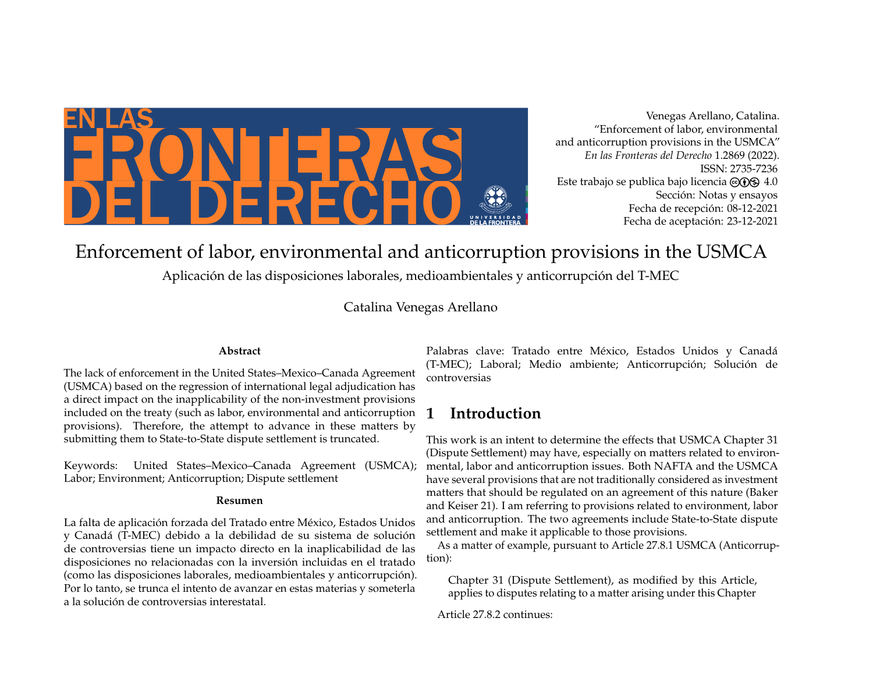

Venegas Arellano, Catalina. "Enforcement of labor, environmental and anticorruption provisions in the USMCA" *En las Fronteras del Derecho* 1.2869 (2022). ISSN: 2735-7236 Este trabajo se publica bajo licencia  $\Theta$ (i) $\Theta$  4.0 Sección: Notas y ensayos Fecha de recepción: 08-12-2021 Fecha de aceptación: 23-12-2021

Enforcement of labor, environmental and anticorruption provisions in the USMCA

Aplicación de las disposiciones laborales, medioambientales y anticorrupción del T-MEC

Catalina Venegas Arellano

#### **Abstract**

The lack of enforcement in the United States–Mexico–Canada Agreement (USMCA) based on the regression of international legal adjudication has a direct impact on the inapplicability of the non-investment provisions included on the treaty (such as labor, environmental and anticorruption provisions). Therefore, the attempt to advance in these matters by submitting them to State-to-State dispute settlement is truncated.

Keywords: United States–Mexico–Canada Agreement (USMCA); Labor; Environment; Anticorruption; Dispute settlement

#### **Resumen**

La falta de aplicación forzada del Tratado entre México, Estados Unidos y Canadá (T-MEC) debido a la debilidad de su sistema de solución de controversias tiene un impacto directo en la inaplicabilidad de las disposiciones no relacionadas con la inversión incluidas en el tratado (como las disposiciones laborales, medioambientales y anticorrupción). Por lo tanto, se trunca el intento de avanzar en estas materias y someterla a la solución de controversias interestatal.

Palabras clave: Tratado entre México, Estados Unidos y Canadá (T-MEC); Laboral; Medio ambiente; Anticorrupción; Solución de controversias

# **1 Introduction**

This work is an intent to determine the effects that USMCA Chapter 31 (Dispute Settlement) may have, especially on matters related to environmental, labor and anticorruption issues. Both NAFTA and the USMCA have several provisions that are not traditionally considered as investment matters that should be regulated on an agreement of this nature (Baker and Keiser 21). I am referring to provisions related to environment, labor and anticorruption. The two agreements include State-to-State dispute settlement and make it applicable to those provisions.

As a matter of example, pursuant to Article 27.8.1 USMCA (Anticorruption):

Chapter 31 (Dispute Settlement), as modified by this Article, applies to disputes relating to a matter arising under this Chapter

Article 27.8.2 continues: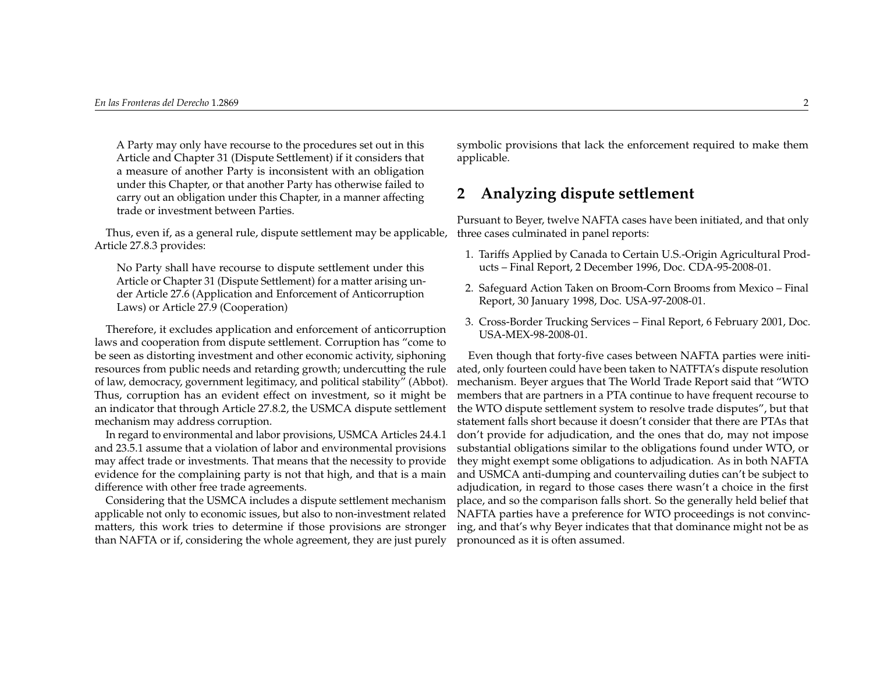A Party may only have recourse to the procedures set out in this Article and Chapter 31 (Dispute Settlement) if it considers that a measure of another Party is inconsistent with an obligation under this Chapter, or that another Party has otherwise failed to carry out an obligation under this Chapter, in a manner affecting trade or investment between Parties.

Thus, even if, as a general rule, dispute settlement may be applicable, Article 27.8.3 provides:

No Party shall have recourse to dispute settlement under this Article or Chapter 31 (Dispute Settlement) for a matter arising under Article 27.6 (Application and Enforcement of Anticorruption Laws) or Article 27.9 (Cooperation)

Therefore, it excludes application and enforcement of anticorruption laws and cooperation from dispute settlement. Corruption has "come to be seen as distorting investment and other economic activity, siphoning resources from public needs and retarding growth; undercutting the rule of law, democracy, government legitimacy, and political stability" (Abbot). Thus, corruption has an evident effect on investment, so it might be an indicator that through Article 27.8.2, the USMCA dispute settlement mechanism may address corruption.

In regard to environmental and labor provisions, USMCA Articles 24.4.1 and 23.5.1 assume that a violation of labor and environmental provisions may affect trade or investments. That means that the necessity to provide evidence for the complaining party is not that high, and that is a main difference with other free trade agreements.

Considering that the USMCA includes a dispute settlement mechanism applicable not only to economic issues, but also to non-investment related matters, this work tries to determine if those provisions are stronger than NAFTA or if, considering the whole agreement, they are just purely symbolic provisions that lack the enforcement required to make them applicable.

### **2 Analyzing dispute settlement**

Pursuant to Beyer, twelve NAFTA cases have been initiated, and that only three cases culminated in panel reports:

- 1. Tariffs Applied by Canada to Certain U.S.-Origin Agricultural Products – Final Report, 2 December 1996, Doc. CDA-95-2008-01.
- 2. Safeguard Action Taken on Broom-Corn Brooms from Mexico Final Report, 30 January 1998, Doc. USA-97-2008-01.
- 3. Cross-Border Trucking Services Final Report, 6 February 2001, Doc. USA-MEX-98-2008-01.

Even though that forty-five cases between NAFTA parties were initiated, only fourteen could have been taken to NATFTA's dispute resolution mechanism. Beyer argues that The World Trade Report said that "WTO members that are partners in a PTA continue to have frequent recourse to the WTO dispute settlement system to resolve trade disputes", but that statement falls short because it doesn't consider that there are PTAs that don't provide for adjudication, and the ones that do, may not impose substantial obligations similar to the obligations found under WTO, or they might exempt some obligations to adjudication. As in both NAFTA and USMCA anti-dumping and countervailing duties can't be subject to adjudication, in regard to those cases there wasn't a choice in the first place, and so the comparison falls short. So the generally held belief that NAFTA parties have a preference for WTO proceedings is not convincing, and that's why Beyer indicates that that dominance might not be as pronounced as it is often assumed.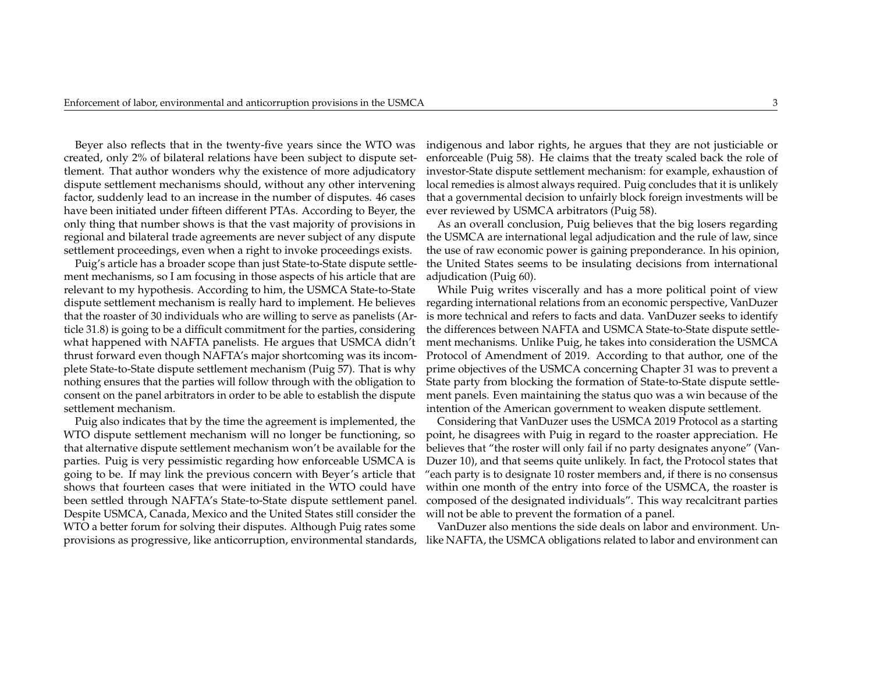Beyer also reflects that in the twenty-five years since the WTO was created, only 2% of bilateral relations have been subject to dispute settlement. That author wonders why the existence of more adjudicatory dispute settlement mechanisms should, without any other intervening factor, suddenly lead to an increase in the number of disputes. 46 cases have been initiated under fifteen different PTAs. According to Beyer, the only thing that number shows is that the vast majority of provisions in regional and bilateral trade agreements are never subject of any dispute settlement proceedings, even when a right to invoke proceedings exists.

Puig's article has a broader scope than just State-to-State dispute settlement mechanisms, so I am focusing in those aspects of his article that are relevant to my hypothesis. According to him, the USMCA State-to-State dispute settlement mechanism is really hard to implement. He believes that the roaster of 30 individuals who are willing to serve as panelists (Article 31.8) is going to be a difficult commitment for the parties, considering what happened with NAFTA panelists. He argues that USMCA didn't thrust forward even though NAFTA's major shortcoming was its incomplete State-to-State dispute settlement mechanism (Puig 57). That is why nothing ensures that the parties will follow through with the obligation to consent on the panel arbitrators in order to be able to establish the dispute settlement mechanism.

Puig also indicates that by the time the agreement is implemented, the WTO dispute settlement mechanism will no longer be functioning, so that alternative dispute settlement mechanism won't be available for the parties. Puig is very pessimistic regarding how enforceable USMCA is going to be. If may link the previous concern with Beyer's article that shows that fourteen cases that were initiated in the WTO could have been settled through NAFTA's State-to-State dispute settlement panel. Despite USMCA, Canada, Mexico and the United States still consider the WTO a better forum for solving their disputes. Although Puig rates some provisions as progressive, like anticorruption, environmental standards,

indigenous and labor rights, he argues that they are not justiciable or enforceable (Puig 58). He claims that the treaty scaled back the role of investor-State dispute settlement mechanism: for example, exhaustion of local remedies is almost always required. Puig concludes that it is unlikely that a governmental decision to unfairly block foreign investments will be ever reviewed by USMCA arbitrators (Puig 58).

As an overall conclusion, Puig believes that the big losers regarding the USMCA are international legal adjudication and the rule of law, since the use of raw economic power is gaining preponderance. In his opinion, the United States seems to be insulating decisions from international adjudication (Puig 60).

While Puig writes viscerally and has a more political point of view regarding international relations from an economic perspective, VanDuzer is more technical and refers to facts and data. VanDuzer seeks to identify the differences between NAFTA and USMCA State-to-State dispute settlement mechanisms. Unlike Puig, he takes into consideration the USMCA Protocol of Amendment of 2019. According to that author, one of the prime objectives of the USMCA concerning Chapter 31 was to prevent a State party from blocking the formation of State-to-State dispute settlement panels. Even maintaining the status quo was a win because of the intention of the American government to weaken dispute settlement.

Considering that VanDuzer uses the USMCA 2019 Protocol as a starting point, he disagrees with Puig in regard to the roaster appreciation. He believes that "the roster will only fail if no party designates anyone" (Van-Duzer 10), and that seems quite unlikely. In fact, the Protocol states that "each party is to designate 10 roster members and, if there is no consensus within one month of the entry into force of the USMCA, the roaster is composed of the designated individuals". This way recalcitrant parties will not be able to prevent the formation of a panel.

VanDuzer also mentions the side deals on labor and environment. Unlike NAFTA, the USMCA obligations related to labor and environment can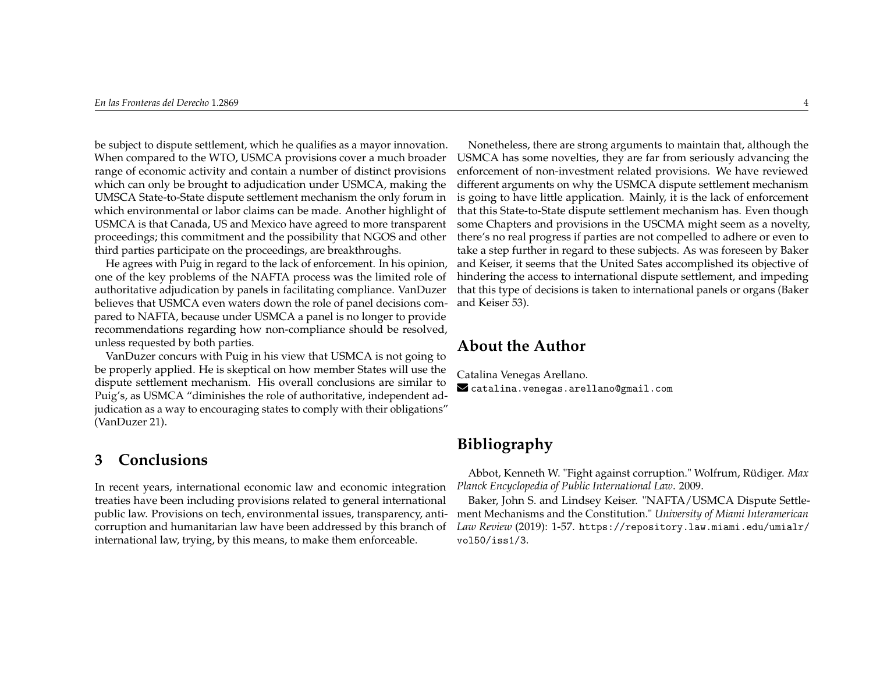be subject to dispute settlement, which he qualifies as a mayor innovation. When compared to the WTO, USMCA provisions cover a much broader range of economic activity and contain a number of distinct provisions which can only be brought to adjudication under USMCA, making the UMSCA State-to-State dispute settlement mechanism the only forum in which environmental or labor claims can be made. Another highlight of USMCA is that Canada, US and Mexico have agreed to more transparent proceedings; this commitment and the possibility that NGOS and other third parties participate on the proceedings, are breakthroughs.

He agrees with Puig in regard to the lack of enforcement. In his opinion, one of the key problems of the NAFTA process was the limited role of authoritative adjudication by panels in facilitating compliance. VanDuzer believes that USMCA even waters down the role of panel decisions compared to NAFTA, because under USMCA a panel is no longer to provide recommendations regarding how non-compliance should be resolved, unless requested by both parties.

VanDuzer concurs with Puig in his view that USMCA is not going to be properly applied. He is skeptical on how member States will use the dispute settlement mechanism. His overall conclusions are similar to Puig's, as USMCA "diminishes the role of authoritative, independent adjudication as a way to encouraging states to comply with their obligations" (VanDuzer 21).

### **3 Conclusions**

In recent years, international economic law and economic integration treaties have been including provisions related to general international public law. Provisions on tech, environmental issues, transparency, anticorruption and humanitarian law have been addressed by this branch of international law, trying, by this means, to make them enforceable.

Nonetheless, there are strong arguments to maintain that, although the USMCA has some novelties, they are far from seriously advancing the enforcement of non-investment related provisions. We have reviewed different arguments on why the USMCA dispute settlement mechanism is going to have little application. Mainly, it is the lack of enforcement that this State-to-State dispute settlement mechanism has. Even though some Chapters and provisions in the USCMA might seem as a novelty, there's no real progress if parties are not compelled to adhere or even to take a step further in regard to these subjects. As was foreseen by Baker and Keiser, it seems that the United Sates accomplished its objective of hindering the access to international dispute settlement, and impeding that this type of decisions is taken to international panels or organs (Baker and Keiser 53).

#### **About the Author**

Catalina Venegas Arellano.  $\blacktriangleright$  <catalina.venegas.arellano@gmail.com>

# **Bibliography**

Abbot, Kenneth W. "Fight against corruption." Wolfrum, Rüdiger. *Max Planck Encyclopedia of Public International Law*. 2009.

Baker, John S. and Lindsey Keiser. "NAFTA/USMCA Dispute Settlement Mechanisms and the Constitution." *University of Miami Interamerican Law Review* (2019): 1-57. [https://repository.law.miami.edu/umialr/](https://repository.law.miami.edu/umialr/vol50/iss1/3) [vol50/iss1/3](https://repository.law.miami.edu/umialr/vol50/iss1/3).